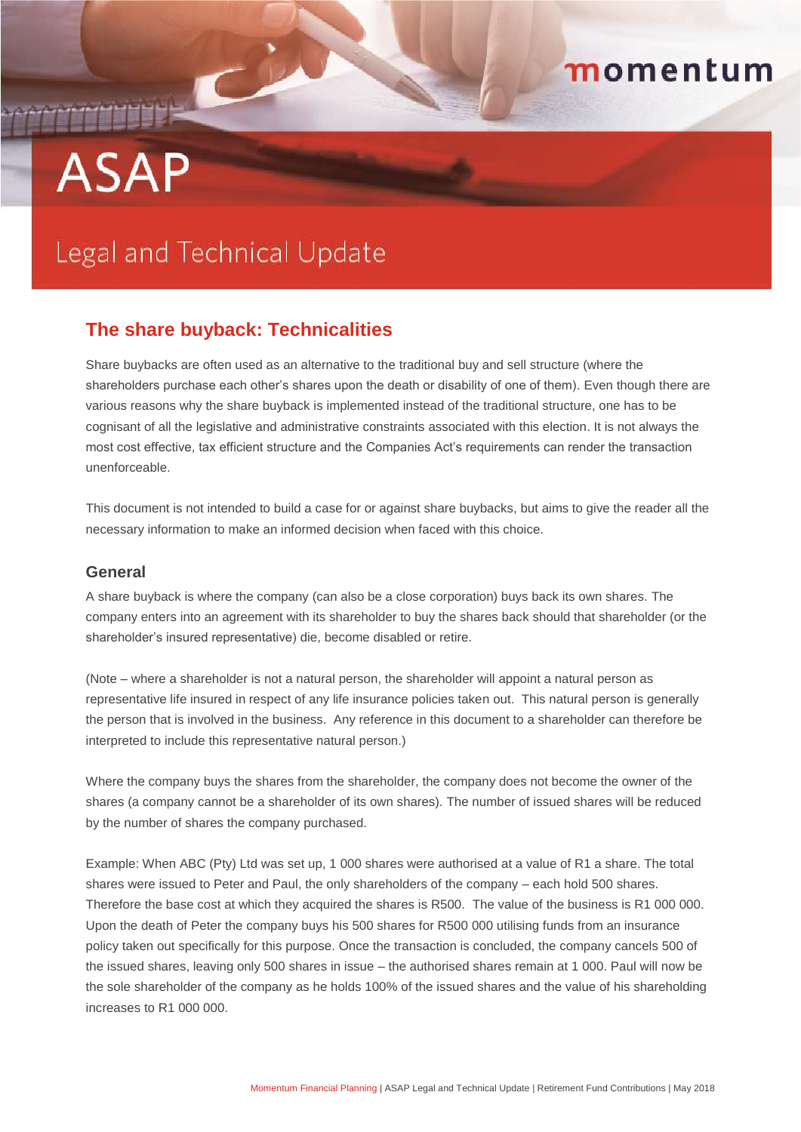# **ASAP**

# momentum

# **Legal and Technical Update**

# **The share buyback: Technicalities**

Share buybacks are often used as an alternative to the traditional buy and sell structure (where the shareholders purchase each other's shares upon the death or disability of one of them). Even though there are various reasons why the share buyback is implemented instead of the traditional structure, one has to be cognisant of all the legislative and administrative constraints associated with this election. It is not always the most cost effective, tax efficient structure and the Companies Act's requirements can render the transaction unenforceable.

This document is not intended to build a case for or against share buybacks, but aims to give the reader all the necessary information to make an informed decision when faced with this choice.

#### **General**

A share buyback is where the company (can also be a close corporation) buys back its own shares. The company enters into an agreement with its shareholder to buy the shares back should that shareholder (or the shareholder's insured representative) die, become disabled or retire.

(Note – where a shareholder is not a natural person, the shareholder will appoint a natural person as representative life insured in respect of any life insurance policies taken out. This natural person is generally the person that is involved in the business. Any reference in this document to a shareholder can therefore be interpreted to include this representative natural person.)

Where the company buys the shares from the shareholder, the company does not become the owner of the shares (a company cannot be a shareholder of its own shares). The number of issued shares will be reduced by the number of shares the company purchased.

Example: When ABC (Pty) Ltd was set up, 1 000 shares were authorised at a value of R1 a share. The total shares were issued to Peter and Paul, the only shareholders of the company – each hold 500 shares. Therefore the base cost at which they acquired the shares is R500. The value of the business is R1 000 000. Upon the death of Peter the company buys his 500 shares for R500 000 utilising funds from an insurance policy taken out specifically for this purpose. Once the transaction is concluded, the company cancels 500 of the issued shares, leaving only 500 shares in issue – the authorised shares remain at 1 000. Paul will now be the sole shareholder of the company as he holds 100% of the issued shares and the value of his shareholding increases to R1 000 000.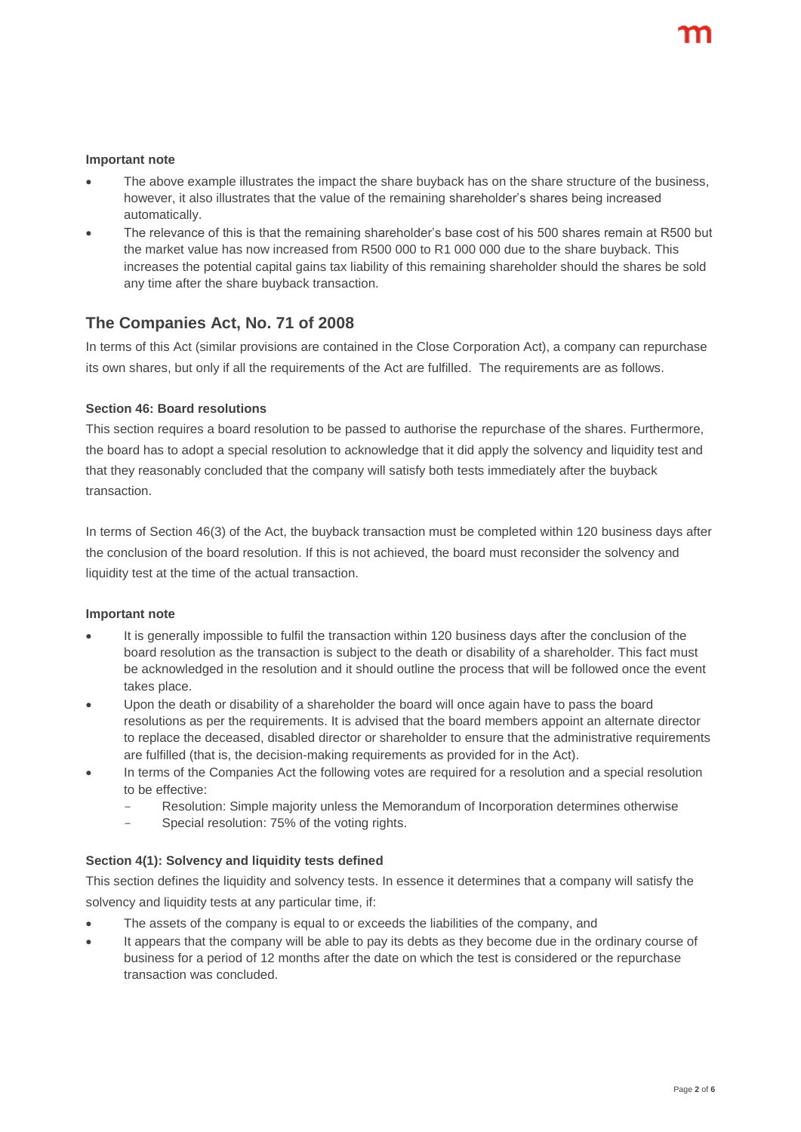#### **Important note**

- The above example illustrates the impact the share buyback has on the share structure of the business, however, it also illustrates that the value of the remaining shareholder's shares being increased automatically.
- The relevance of this is that the remaining shareholder's base cost of his 500 shares remain at R500 but the market value has now increased from R500 000 to R1 000 000 due to the share buyback. This increases the potential capital gains tax liability of this remaining shareholder should the shares be sold any time after the share buyback transaction.

## **The Companies Act, No. 71 of 2008**

In terms of this Act (similar provisions are contained in the Close Corporation Act), a company can repurchase its own shares, but only if all the requirements of the Act are fulfilled. The requirements are as follows.

#### **Section 46: Board resolutions**

This section requires a board resolution to be passed to authorise the repurchase of the shares. Furthermore, the board has to adopt a special resolution to acknowledge that it did apply the solvency and liquidity test and that they reasonably concluded that the company will satisfy both tests immediately after the buyback transaction.

In terms of Section 46(3) of the Act, the buyback transaction must be completed within 120 business days after the conclusion of the board resolution. If this is not achieved, the board must reconsider the solvency and liquidity test at the time of the actual transaction.

#### **Important note**

- It is generally impossible to fulfil the transaction within 120 business days after the conclusion of the board resolution as the transaction is subject to the death or disability of a shareholder. This fact must be acknowledged in the resolution and it should outline the process that will be followed once the event takes place.
- Upon the death or disability of a shareholder the board will once again have to pass the board resolutions as per the requirements. It is advised that the board members appoint an alternate director to replace the deceased, disabled director or shareholder to ensure that the administrative requirements are fulfilled (that is, the decision-making requirements as provided for in the Act).
- In terms of the Companies Act the following votes are required for a resolution and a special resolution to be effective:
	- Resolution: Simple majority unless the Memorandum of Incorporation determines otherwise
	- Special resolution: 75% of the voting rights.

#### **Section 4(1): Solvency and liquidity tests defined**

This section defines the liquidity and solvency tests. In essence it determines that a company will satisfy the solvency and liquidity tests at any particular time, if:

- The assets of the company is equal to or exceeds the liabilities of the company, and
- It appears that the company will be able to pay its debts as they become due in the ordinary course of business for a period of 12 months after the date on which the test is considered or the repurchase transaction was concluded.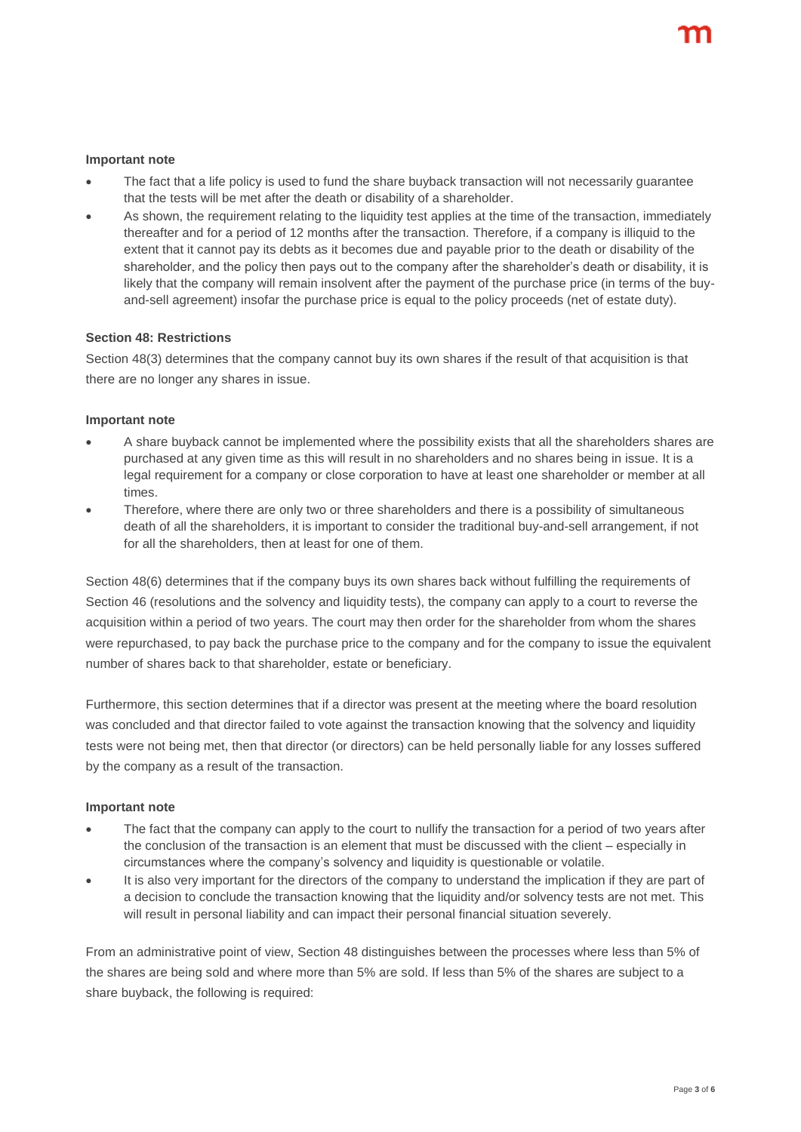#### **Important note**

- The fact that a life policy is used to fund the share buyback transaction will not necessarily guarantee that the tests will be met after the death or disability of a shareholder.
- As shown, the requirement relating to the liquidity test applies at the time of the transaction, immediately thereafter and for a period of 12 months after the transaction. Therefore, if a company is illiquid to the extent that it cannot pay its debts as it becomes due and payable prior to the death or disability of the shareholder, and the policy then pays out to the company after the shareholder's death or disability, it is likely that the company will remain insolvent after the payment of the purchase price (in terms of the buyand-sell agreement) insofar the purchase price is equal to the policy proceeds (net of estate duty).

#### **Section 48: Restrictions**

Section 48(3) determines that the company cannot buy its own shares if the result of that acquisition is that there are no longer any shares in issue.

#### **Important note**

- A share buyback cannot be implemented where the possibility exists that all the shareholders shares are purchased at any given time as this will result in no shareholders and no shares being in issue. It is a legal requirement for a company or close corporation to have at least one shareholder or member at all times.
- Therefore, where there are only two or three shareholders and there is a possibility of simultaneous death of all the shareholders, it is important to consider the traditional buy-and-sell arrangement, if not for all the shareholders, then at least for one of them.

Section 48(6) determines that if the company buys its own shares back without fulfilling the requirements of Section 46 (resolutions and the solvency and liquidity tests), the company can apply to a court to reverse the acquisition within a period of two years. The court may then order for the shareholder from whom the shares were repurchased, to pay back the purchase price to the company and for the company to issue the equivalent number of shares back to that shareholder, estate or beneficiary.

Furthermore, this section determines that if a director was present at the meeting where the board resolution was concluded and that director failed to vote against the transaction knowing that the solvency and liquidity tests were not being met, then that director (or directors) can be held personally liable for any losses suffered by the company as a result of the transaction.

#### **Important note**

- The fact that the company can apply to the court to nullify the transaction for a period of two years after the conclusion of the transaction is an element that must be discussed with the client – especially in circumstances where the company's solvency and liquidity is questionable or volatile.
- It is also very important for the directors of the company to understand the implication if they are part of a decision to conclude the transaction knowing that the liquidity and/or solvency tests are not met. This will result in personal liability and can impact their personal financial situation severely.

From an administrative point of view, Section 48 distinguishes between the processes where less than 5% of the shares are being sold and where more than 5% are sold. If less than 5% of the shares are subject to a share buyback, the following is required: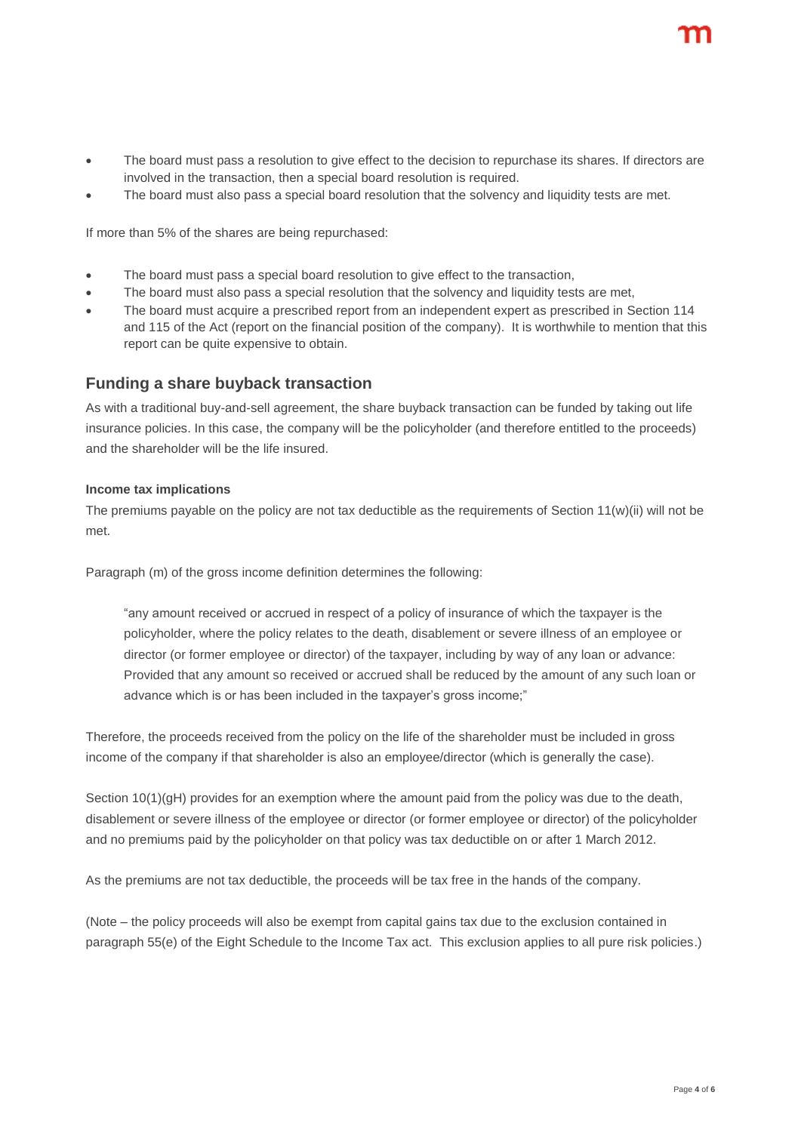- The board must pass a resolution to give effect to the decision to repurchase its shares. If directors are involved in the transaction, then a special board resolution is required.
- The board must also pass a special board resolution that the solvency and liquidity tests are met.

If more than 5% of the shares are being repurchased:

- The board must pass a special board resolution to give effect to the transaction,
- The board must also pass a special resolution that the solvency and liquidity tests are met,
- The board must acquire a prescribed report from an independent expert as prescribed in Section 114 and 115 of the Act (report on the financial position of the company). It is worthwhile to mention that this report can be quite expensive to obtain.

## **Funding a share buyback transaction**

As with a traditional buy-and-sell agreement, the share buyback transaction can be funded by taking out life insurance policies. In this case, the company will be the policyholder (and therefore entitled to the proceeds) and the shareholder will be the life insured.

#### **Income tax implications**

The premiums payable on the policy are not tax deductible as the requirements of Section 11(w)(ii) will not be met.

Paragraph (m) of the gross income definition determines the following:

"any amount received or accrued in respect of a policy of insurance of which the taxpayer is the policyholder, where the policy relates to the death, disablement or severe illness of an employee or director (or former employee or director) of the taxpayer, including by way of any loan or advance: Provided that any amount so received or accrued shall be reduced by the amount of any such loan or advance which is or has been included in the taxpayer's gross income;"

Therefore, the proceeds received from the policy on the life of the shareholder must be included in gross income of the company if that shareholder is also an employee/director (which is generally the case).

Section 10(1)(gH) provides for an exemption where the amount paid from the policy was due to the death, disablement or severe illness of the employee or director (or former employee or director) of the policyholder and no premiums paid by the policyholder on that policy was tax deductible on or after 1 March 2012.

As the premiums are not tax deductible, the proceeds will be tax free in the hands of the company.

(Note – the policy proceeds will also be exempt from capital gains tax due to the exclusion contained in paragraph 55(e) of the Eight Schedule to the Income Tax act. This exclusion applies to all pure risk policies.)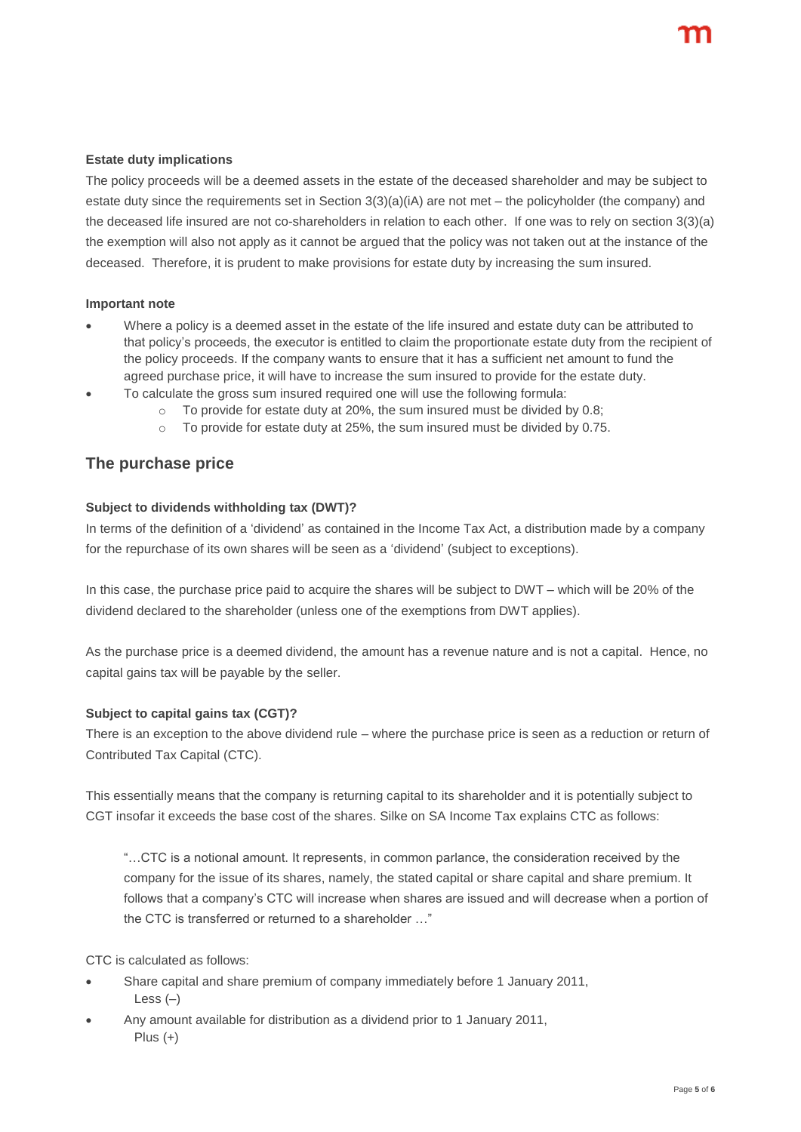#### **Estate duty implications**

The policy proceeds will be a deemed assets in the estate of the deceased shareholder and may be subject to estate duty since the requirements set in Section 3(3)(a)(iA) are not met – the policyholder (the company) and the deceased life insured are not co-shareholders in relation to each other. If one was to rely on section 3(3)(a) the exemption will also not apply as it cannot be argued that the policy was not taken out at the instance of the deceased. Therefore, it is prudent to make provisions for estate duty by increasing the sum insured.

#### **Important note**

- Where a policy is a deemed asset in the estate of the life insured and estate duty can be attributed to that policy's proceeds, the executor is entitled to claim the proportionate estate duty from the recipient of the policy proceeds. If the company wants to ensure that it has a sufficient net amount to fund the agreed purchase price, it will have to increase the sum insured to provide for the estate duty.
- To calculate the gross sum insured required one will use the following formula:
	- To provide for estate duty at 20%, the sum insured must be divided by 0.8;
	- $\circ$  To provide for estate duty at 25%, the sum insured must be divided by 0.75.

## **The purchase price**

#### **Subject to dividends withholding tax (DWT)?**

In terms of the definition of a 'dividend' as contained in the Income Tax Act, a distribution made by a company for the repurchase of its own shares will be seen as a 'dividend' (subject to exceptions).

In this case, the purchase price paid to acquire the shares will be subject to DWT – which will be 20% of the dividend declared to the shareholder (unless one of the exemptions from DWT applies).

As the purchase price is a deemed dividend, the amount has a revenue nature and is not a capital. Hence, no capital gains tax will be payable by the seller.

#### **Subject to capital gains tax (CGT)?**

There is an exception to the above dividend rule – where the purchase price is seen as a reduction or return of Contributed Tax Capital (CTC).

This essentially means that the company is returning capital to its shareholder and it is potentially subject to CGT insofar it exceeds the base cost of the shares. Silke on SA Income Tax explains CTC as follows:

"…CTC is a notional amount. It represents, in common parlance, the consideration received by the company for the issue of its shares, namely, the stated capital or share capital and share premium. It follows that a company's CTC will increase when shares are issued and will decrease when a portion of the CTC is transferred or returned to a shareholder …"

CTC is calculated as follows:

- Share capital and share premium of company immediately before 1 January 2011, Less  $(-)$
- Any amount available for distribution as a dividend prior to 1 January 2011, Plus  $(+)$